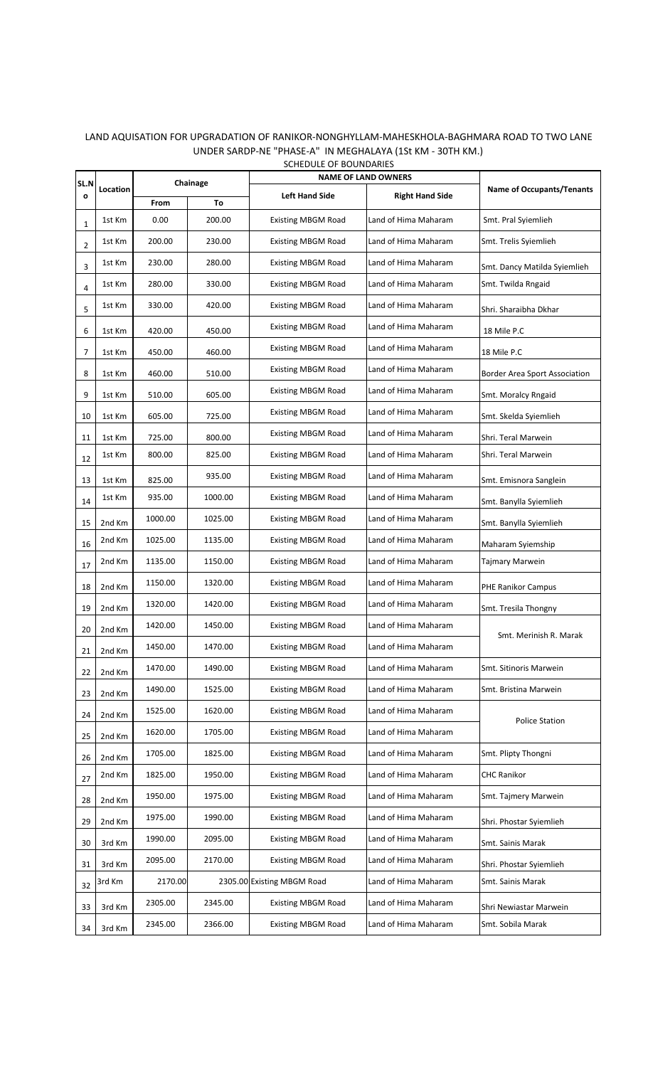| SL.N           |          | Chainage |         | <b>NAME OF LAND OWNERS</b> |                        |                                      |
|----------------|----------|----------|---------|----------------------------|------------------------|--------------------------------------|
| O              | Location | From     | To      | <b>Left Hand Side</b>      | <b>Right Hand Side</b> | <b>Name of Occupants/Tenants</b>     |
| 1              | 1st Km   | 0.00     | 200.00  | <b>Existing MBGM Road</b>  | Land of Hima Maharam   | Smt. Pral Syiemlieh                  |
| $\overline{2}$ | 1st Km   | 200.00   | 230.00  | <b>Existing MBGM Road</b>  | Land of Hima Maharam   | Smt. Trelis Syiemlieh                |
| 3              | 1st Km   | 230.00   | 280.00  | <b>Existing MBGM Road</b>  | Land of Hima Maharam   | Smt. Dancy Matilda Syiemlieh         |
| 4              | 1st Km   | 280.00   | 330.00  | <b>Existing MBGM Road</b>  | Land of Hima Maharam   | Smt. Twilda Rngaid                   |
| 5              | 1st Km   | 330.00   | 420.00  | <b>Existing MBGM Road</b>  | Land of Hima Maharam   | Shri. Sharaibha Dkhar                |
| 6              | 1st Km   | 420.00   | 450.00  | <b>Existing MBGM Road</b>  | Land of Hima Maharam   | 18 Mile P.C                          |
| 7              | 1st Km   | 450.00   | 460.00  | <b>Existing MBGM Road</b>  | Land of Hima Maharam   | 18 Mile P.C                          |
| 8              | 1st Km   | 460.00   | 510.00  | <b>Existing MBGM Road</b>  | Land of Hima Maharam   | <b>Border Area Sport Association</b> |
| 9              | 1st Km   | 510.00   | 605.00  | <b>Existing MBGM Road</b>  | Land of Hima Maharam   | Smt. Moralcy Rngaid                  |
| 10             | 1st Km   | 605.00   | 725.00  | <b>Existing MBGM Road</b>  | Land of Hima Maharam   | Smt. Skelda Syiemlieh                |
| 11             | 1st Km   | 725.00   | 800.00  | <b>Existing MBGM Road</b>  | Land of Hima Maharam   | Shri. Teral Marwein                  |
| 12             | 1st Km   | 800.00   | 825.00  | <b>Existing MBGM Road</b>  | Land of Hima Maharam   | Shri. Teral Marwein                  |
| 13             | 1st Km   | 825.00   | 935.00  | <b>Existing MBGM Road</b>  | Land of Hima Maharam   | Smt. Emisnora Sanglein               |
| 14             | 1st Km   | 935.00   | 1000.00 | <b>Existing MBGM Road</b>  | Land of Hima Maharam   | Smt. Banylla Syiemlieh               |
| 15             | 2nd Km   | 1000.00  | 1025.00 | <b>Existing MBGM Road</b>  | Land of Hima Maharam   | Smt. Banylla Syiemlieh               |
| 16             | 2nd Km   | 1025.00  | 1135.00 | <b>Existing MBGM Road</b>  | Land of Hima Maharam   | Maharam Syiemship                    |
| 17             | 2nd Km   | 1135.00  | 1150.00 | <b>Existing MBGM Road</b>  | Land of Hima Maharam   | Tajmary Marwein                      |
| 18             | 2nd Km   | 1150.00  | 1320.00 | <b>Existing MBGM Road</b>  | Land of Hima Maharam   | PHE Ranikor Campus                   |
| 19             | 2nd Km   | 1320.00  | 1420.00 | <b>Existing MBGM Road</b>  | Land of Hima Maharam   | Smt. Tresila Thongny                 |
| 20             | 2nd Km   | 1420.00  | 1450.00 | <b>Existing MBGM Road</b>  | Land of Hima Maharam   | Smt. Merinish R. Marak               |
| 21             | 2nd Km   | 1450.00  | 1470.00 | <b>Existing MBGM Road</b>  | Land of Hima Maharam   |                                      |
| 22             | 2nd Km   | 1470.00  | 1490.00 | <b>Existing MBGM Road</b>  | Land of Hima Maharam   | Smt. Sitinoris Marwein               |
| 23             | 2nd Km   | 1490.00  | 1525.00 | <b>Existing MBGM Road</b>  | Land of Hima Maharam   | Smt. Bristina Marwein                |
| 24             | 2nd Km   | 1525.00  | 1620.00 | <b>Existing MBGM Road</b>  | Land of Hima Maharam   | <b>Police Station</b>                |
| 25             | 2nd Km   | 1620.00  | 1705.00 | <b>Existing MBGM Road</b>  | Land of Hima Maharam   |                                      |
| 26             | 2nd Km   | 1705.00  | 1825.00 | <b>Existing MBGM Road</b>  | Land of Hima Maharam   | Smt. Plipty Thongni                  |
| 27             | 2nd Km   | 1825.00  | 1950.00 | <b>Existing MBGM Road</b>  | Land of Hima Maharam   | <b>CHC Ranikor</b>                   |
| 28             | 2nd Km   | 1950.00  | 1975.00 | <b>Existing MBGM Road</b>  | Land of Hima Maharam   | Smt. Tajmery Marwein                 |
| 29             | 2nd Km   | 1975.00  | 1990.00 | <b>Existing MBGM Road</b>  | Land of Hima Maharam   | Shri. Phostar Syiemlieh              |
| 30             | 3rd Km   | 1990.00  | 2095.00 | <b>Existing MBGM Road</b>  | Land of Hima Maharam   | Smt. Sainis Marak                    |
| 31             | 3rd Km   | 2095.00  | 2170.00 | <b>Existing MBGM Road</b>  | Land of Hima Maharam   | Shri. Phostar Syiemlieh              |
| 32             | 3rd Km   | 2170.00  |         | 2305.00 Existing MBGM Road | Land of Hima Maharam   | Smt. Sainis Marak                    |
| 33             | 3rd Km   | 2305.00  | 2345.00 | <b>Existing MBGM Road</b>  | Land of Hima Maharam   | Shri Newiastar Marwein               |
| 34             | 3rd Km   | 2345.00  | 2366.00 | <b>Existing MBGM Road</b>  | Land of Hima Maharam   | Smt. Sobila Marak                    |

## LAND AQUISATION FOR UPGRADATION OF RANIKOR‐NONGHYLLAM‐MAHESKHOLA‐BAGHMARA ROAD TO TWO LANE UNDER SARDP‐NE "PHASE‐A" IN MEGHALAYA (1St KM ‐ 30TH KM.) SCHEDULE OF BOUNDARIES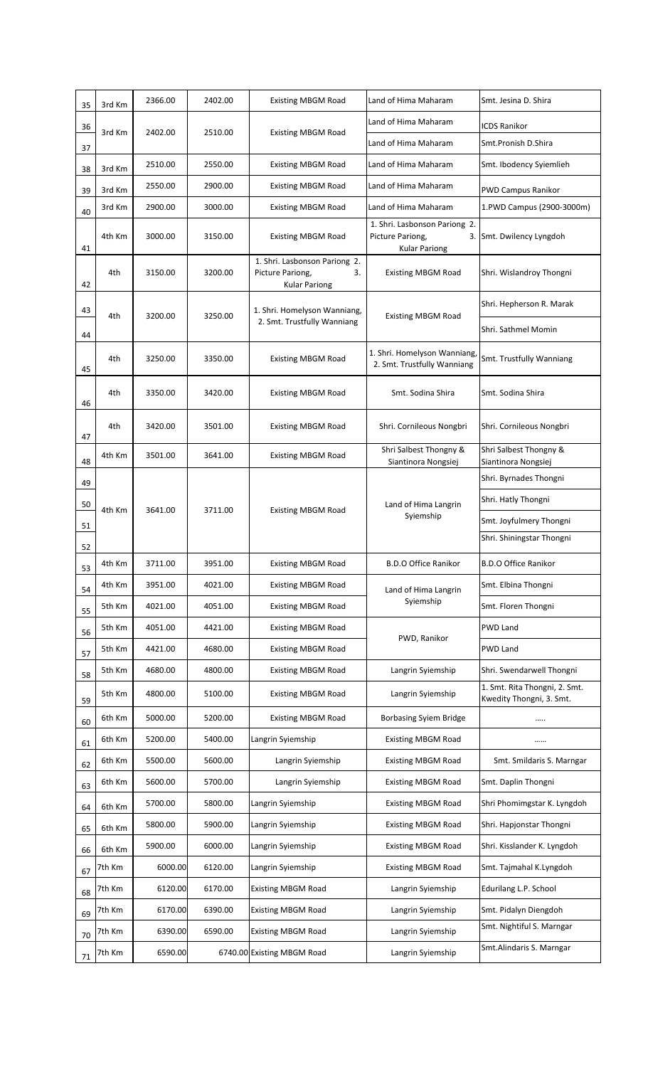| 35 | 3rd Km | 2366.00 | 2402.00 | <b>Existing MBGM Road</b>                                                       | Land of Hima Maharam                                                      | Smt. Jesina D. Shira                                      |
|----|--------|---------|---------|---------------------------------------------------------------------------------|---------------------------------------------------------------------------|-----------------------------------------------------------|
| 36 | 3rd Km | 2402.00 | 2510.00 |                                                                                 | Land of Hima Maharam                                                      | <b>ICDS Ranikor</b>                                       |
| 37 |        |         |         | <b>Existing MBGM Road</b>                                                       | Land of Hima Maharam                                                      | Smt.Pronish D.Shira                                       |
| 38 | 3rd Km | 2510.00 | 2550.00 | <b>Existing MBGM Road</b>                                                       | Land of Hima Maharam                                                      | Smt. Ibodency Syiemlieh                                   |
| 39 | 3rd Km | 2550.00 | 2900.00 | <b>Existing MBGM Road</b>                                                       | Land of Hima Maharam                                                      | <b>PWD Campus Ranikor</b>                                 |
| 40 | 3rd Km | 2900.00 | 3000.00 | <b>Existing MBGM Road</b>                                                       | Land of Hima Maharam                                                      | 1.PWD Campus (2900-3000m)                                 |
| 41 | 4th Km | 3000.00 | 3150.00 | <b>Existing MBGM Road</b>                                                       | 1. Shri. Lasbonson Pariong 2.<br>Picture Pariong,<br><b>Kular Pariong</b> | 3. Smt. Dwilency Lyngdoh                                  |
| 42 | 4th    | 3150.00 | 3200.00 | 1. Shri. Lasbonson Pariong 2.<br>Picture Pariong,<br>3.<br><b>Kular Pariong</b> | <b>Existing MBGM Road</b>                                                 | Shri. Wislandroy Thongni                                  |
| 43 |        |         |         | 1. Shri. Homelyson Wanniang,                                                    |                                                                           | Shri. Hepherson R. Marak                                  |
| 44 | 4th    | 3200.00 | 3250.00 | 2. Smt. Trustfully Wanniang                                                     | <b>Existing MBGM Road</b>                                                 | Shri. Sathmel Momin                                       |
| 45 | 4th    | 3250.00 | 3350.00 | <b>Existing MBGM Road</b>                                                       | 1. Shri. Homelyson Wanniang,<br>2. Smt. Trustfully Wanniang               | Smt. Trustfully Wanniang                                  |
| 46 | 4th    | 3350.00 | 3420.00 | <b>Existing MBGM Road</b>                                                       | Smt. Sodina Shira                                                         | Smt. Sodina Shira                                         |
| 47 | 4th    | 3420.00 | 3501.00 | <b>Existing MBGM Road</b>                                                       | Shri. Cornileous Nongbri                                                  | Shri. Cornileous Nongbri                                  |
| 48 | 4th Km | 3501.00 | 3641.00 | <b>Existing MBGM Road</b>                                                       | Shri Salbest Thongny &<br>Siantinora Nongsiej                             | Shri Salbest Thongny &<br>Siantinora Nongsiej             |
| 49 |        |         |         |                                                                                 |                                                                           | Shri. Byrnades Thongni                                    |
| 50 |        | 3641.00 | 3711.00 | <b>Existing MBGM Road</b>                                                       | Land of Hima Langrin                                                      | Shri. Hatly Thongni                                       |
| 51 | 4th Km |         |         |                                                                                 | Syiemship                                                                 | Smt. Joyfulmery Thongni                                   |
| 52 |        |         |         |                                                                                 |                                                                           | Shri. Shiningstar Thongni                                 |
| 53 | 4th Km | 3711.00 | 3951.00 | <b>Existing MBGM Road</b>                                                       | <b>B.D.O Office Ranikor</b>                                               | <b>B.D.O Office Ranikor</b>                               |
| 54 | 4th Km | 3951.00 | 4021.00 | <b>Existing MBGM Road</b>                                                       | Land of Hima Langrin                                                      | Smt. Elbina Thongni                                       |
| 55 | 5th Km | 4021.00 | 4051.00 | <b>Existing MBGM Road</b>                                                       | Syiemship                                                                 | Smt. Floren Thongni                                       |
| 56 | 5th Km | 4051.00 | 4421.00 | <b>Existing MBGM Road</b>                                                       | PWD, Ranikor                                                              | PWD Land                                                  |
| 57 | 5th Km | 4421.00 | 4680.00 | <b>Existing MBGM Road</b>                                                       |                                                                           | PWD Land                                                  |
| 58 | 5th Km | 4680.00 | 4800.00 | <b>Existing MBGM Road</b>                                                       | Langrin Syiemship                                                         | Shri. Swendarwell Thongni                                 |
| 59 | 5th Km | 4800.00 | 5100.00 | <b>Existing MBGM Road</b>                                                       | Langrin Syiemship                                                         | 1. Smt. Rita Thongni, 2. Smt.<br>Kwedity Thongni, 3. Smt. |
| 60 | 6th Km | 5000.00 | 5200.00 | <b>Existing MBGM Road</b>                                                       | <b>Borbasing Syiem Bridge</b>                                             |                                                           |
| 61 | 6th Km | 5200.00 | 5400.00 | Langrin Syiemship                                                               | <b>Existing MBGM Road</b>                                                 |                                                           |
| 62 | 6th Km | 5500.00 | 5600.00 | Langrin Syiemship                                                               | <b>Existing MBGM Road</b>                                                 | Smt. Smildaris S. Marngar                                 |
| 63 | 6th Km | 5600.00 | 5700.00 | Langrin Syiemship                                                               | <b>Existing MBGM Road</b>                                                 | Smt. Daplin Thongni                                       |
| 64 | 6th Km | 5700.00 | 5800.00 | Langrin Syiemship                                                               | <b>Existing MBGM Road</b>                                                 | Shri Phomimgstar K. Lyngdoh                               |
| 65 | 6th Km | 5800.00 | 5900.00 | Langrin Syiemship                                                               | <b>Existing MBGM Road</b>                                                 | Shri. Hapjonstar Thongni                                  |
| 66 | 6th Km | 5900.00 | 6000.00 | Langrin Syiemship                                                               | <b>Existing MBGM Road</b>                                                 | Shri. Kisslander K. Lyngdoh                               |
| 67 | 7th Km | 6000.00 | 6120.00 | Langrin Syiemship                                                               | <b>Existing MBGM Road</b>                                                 | Smt. Tajmahal K.Lyngdoh                                   |
| 68 | 7th Km | 6120.00 | 6170.00 | <b>Existing MBGM Road</b>                                                       | Langrin Syiemship                                                         | Edurilang L.P. School                                     |
| 69 | 7th Km | 6170.00 | 6390.00 | <b>Existing MBGM Road</b>                                                       | Langrin Syiemship                                                         | Smt. Pidalyn Diengdoh                                     |
| 70 | 7th Km | 6390.00 | 6590.00 | <b>Existing MBGM Road</b>                                                       | Langrin Syiemship                                                         | Smt. Nightiful S. Marngar                                 |
| 71 | 7th Km | 6590.00 |         | 6740.00 Existing MBGM Road                                                      | Langrin Syiemship                                                         | Smt.Alindaris S. Marngar                                  |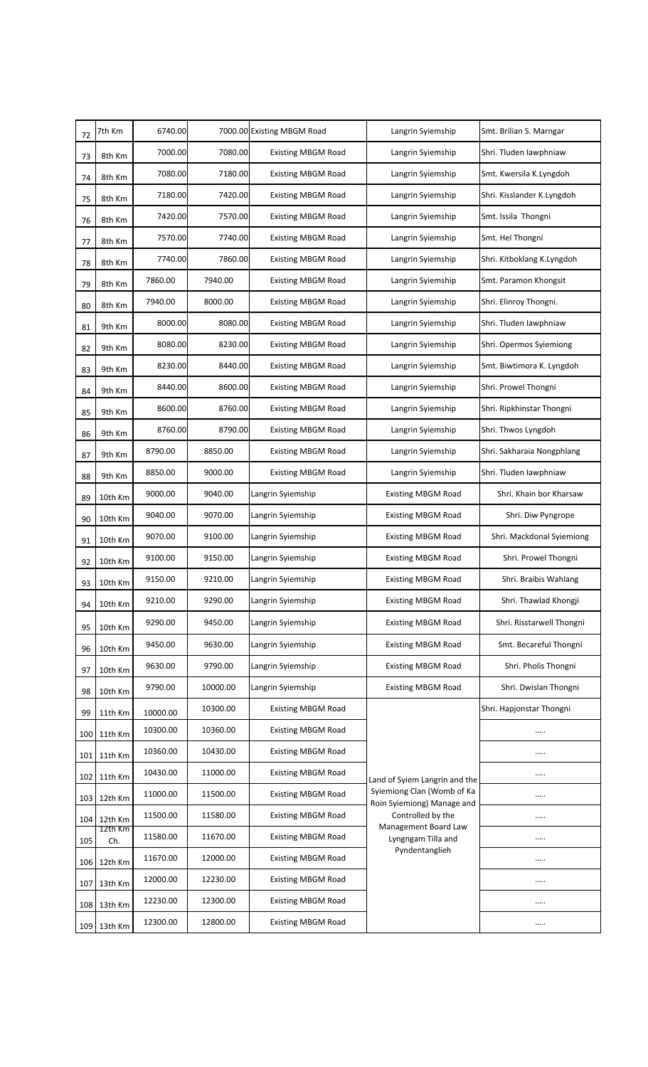| 72               | 7th Km         | 6740.00  |          | 7000.00 Existing MBGM Road | Langrin Syiemship                                        | Smt. Brilian S. Marngar    |
|------------------|----------------|----------|----------|----------------------------|----------------------------------------------------------|----------------------------|
| 73               | 8th Km         | 7000.00  | 7080.00  | <b>Existing MBGM Road</b>  | Langrin Syiemship                                        | Shri. Tluden lawphniaw     |
| 74               | 8th Km         | 7080.00  | 7180.00  | <b>Existing MBGM Road</b>  | Langrin Syiemship                                        | Smt. Kwersila K.Lyngdoh    |
| 75               | 8th Km         | 7180.00  | 7420.00  | <b>Existing MBGM Road</b>  | Langrin Syiemship                                        | Shri. Kisslander K.Lyngdoh |
| 76               | 8th Km         | 7420.00  | 7570.00  | <b>Existing MBGM Road</b>  | Langrin Syiemship                                        | Smt. Issila Thongni        |
| 77               | 8th Km         | 7570.00  | 7740.00  | <b>Existing MBGM Road</b>  | Langrin Syiemship                                        | Smt. Hel Thongni           |
| 78               | 8th Km         | 7740.00  | 7860.00  | <b>Existing MBGM Road</b>  | Langrin Syiemship                                        | Shri. Kitboklang K.Lyngdoh |
| 79               | 8th Km         | 7860.00  | 7940.00  | <b>Existing MBGM Road</b>  | Langrin Syiemship                                        | Smt. Paramon Khongsit      |
| 80               | 8th Km         | 7940.00  | 8000.00  | <b>Existing MBGM Road</b>  | Langrin Syiemship                                        | Shri. Elinroy Thongni.     |
| 81               | 9th Km         | 8000.00  | 8080.00  | <b>Existing MBGM Road</b>  | Langrin Syiemship                                        | Shri. Tluden lawphniaw     |
| 82               | 9th Km         | 8080.00  | 8230.00  | <b>Existing MBGM Road</b>  | Langrin Syiemship                                        | Shri. Opermos Syiemiong    |
| 83               | 9th Km         | 8230.00  | 8440.00  | <b>Existing MBGM Road</b>  | Langrin Syiemship                                        | Smt. Biwtimora K. Lyngdoh  |
| 84               | 9th Km         | 8440.00  | 8600.00  | <b>Existing MBGM Road</b>  | Langrin Syiemship                                        | Shri. Prowel Thongni       |
| 85               | 9th Km         | 8600.00  | 8760.00  | <b>Existing MBGM Road</b>  | Langrin Syiemship                                        | Shri. Ripkhinstar Thongni  |
| 86               | 9th Km         | 8760.00  | 8790.00  | <b>Existing MBGM Road</b>  | Langrin Syiemship                                        | Shri. Thwos Lyngdoh        |
| 87               | 9th Km         | 8790.00  | 8850.00  | <b>Existing MBGM Road</b>  | Langrin Syiemship                                        | Shri. Sakharaia Nongphlang |
| 88               | 9th Km         | 8850.00  | 9000.00  | <b>Existing MBGM Road</b>  | Langrin Syiemship                                        | Shri. Tluden Iawphniaw     |
| 89               | 10th Km        | 9000.00  | 9040.00  | Langrin Syiemship          | <b>Existing MBGM Road</b>                                | Shri. Khain bor Kharsaw    |
| 90               | 10th Km        | 9040.00  | 9070.00  | Langrin Syiemship          | <b>Existing MBGM Road</b>                                | Shri. Diw Pyngrope         |
| 91               | 10th Km        | 9070.00  | 9100.00  | Langrin Syiemship          | <b>Existing MBGM Road</b>                                | Shri. Mackdonal Syiemiong  |
| 92               | 10th Km        | 9100.00  | 9150.00  | Langrin Syiemship          | <b>Existing MBGM Road</b>                                | Shri. Prowel Thongni       |
| 93               | 10th Km        | 9150.00  | 9210.00  | Langrin Syiemship          | <b>Existing MBGM Road</b>                                | Shri. Braibis Wahlang      |
| 94               | 10th Km        | 9210.00  | 9290.00  | Langrin Syiemship          | <b>Existing MBGM Road</b>                                | Shri. Thawlad Khongji      |
| 95               | 10th Km        | 9290.00  | 9450.00  | Langrin Syiemship          | <b>Existing MBGM Road</b>                                | Shri. Risstarwell Thongni  |
| 96               | 10th Km        | 9450.00  | 9630.00  | Langrin Syiemship          | <b>Existing MBGM Road</b>                                | Smt. Becareful Thongni     |
| 97               | 10th Km        | 9630.00  | 9790.00  | Langrin Syiemship          | <b>Existing MBGM Road</b>                                | Shri. Pholis Thongni       |
| 98               | 10th Km        | 9790.00  | 10000.00 | Langrin Syiemship          | <b>Existing MBGM Road</b>                                | Shri. Dwislan Thongni      |
| 99               | 11th Km        | 10000.00 | 10300.00 | <b>Existing MBGM Road</b>  |                                                          | Shri. Hapjonstar Thongni   |
| 100 <sub>l</sub> | 11th Km        | 10300.00 | 10360.00 | <b>Existing MBGM Road</b>  |                                                          |                            |
| 101              | 11th Km        | 10360.00 | 10430.00 | <b>Existing MBGM Road</b>  |                                                          |                            |
|                  | 102 11th Km    | 10430.00 | 11000.00 | <b>Existing MBGM Road</b>  | Land of Syiem Langrin and the                            |                            |
| 103              | 12th Km        | 11000.00 | 11500.00 | <b>Existing MBGM Road</b>  | Syiemiong Clan (Womb of Ka<br>Roin Syiemiong) Manage and |                            |
| 104              | 12th Km        | 11500.00 | 11580.00 | <b>Existing MBGM Road</b>  | Controlled by the<br>Management Board Law                |                            |
| 105              | 12th Km<br>Ch. | 11580.00 | 11670.00 | <b>Existing MBGM Road</b>  | Lyngngam Tilla and                                       |                            |
| 106              | 12th Km        | 11670.00 | 12000.00 | <b>Existing MBGM Road</b>  | Pyndentanglieh                                           |                            |
| 107              | 13th Km        | 12000.00 | 12230.00 | <b>Existing MBGM Road</b>  |                                                          |                            |
| 108              | 13th Km        | 12230.00 | 12300.00 | <b>Existing MBGM Road</b>  |                                                          |                            |
|                  | 109 13th Km    | 12300.00 | 12800.00 | <b>Existing MBGM Road</b>  |                                                          |                            |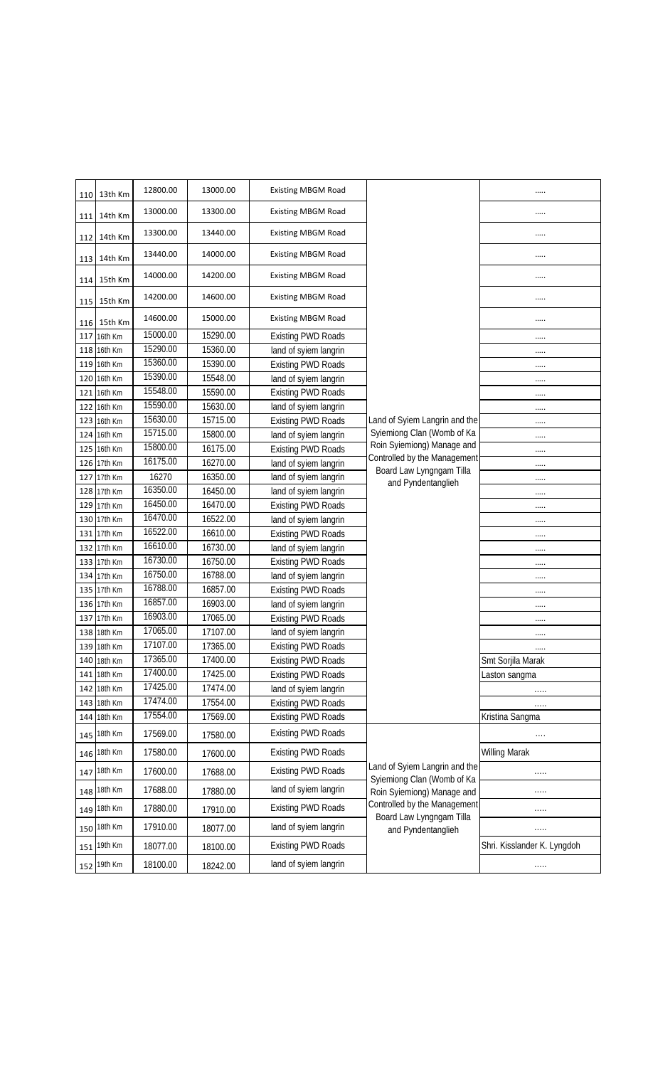| 110 | 13th Km                | 12800.00 | 13000.00 | <b>Existing MBGM Road</b>                              |                                                          |                                    |
|-----|------------------------|----------|----------|--------------------------------------------------------|----------------------------------------------------------|------------------------------------|
| 111 | 14th Km                | 13000.00 | 13300.00 | <b>Existing MBGM Road</b>                              |                                                          |                                    |
| 112 | 14th Km                | 13300.00 | 13440.00 | <b>Existing MBGM Road</b>                              |                                                          |                                    |
| 113 | 14th Km                | 13440.00 | 14000.00 | <b>Existing MBGM Road</b>                              |                                                          |                                    |
| 114 | 15th Km                | 14000.00 | 14200.00 | <b>Existing MBGM Road</b>                              |                                                          |                                    |
| 115 | 15th Km                | 14200.00 | 14600.00 | <b>Existing MBGM Road</b>                              |                                                          |                                    |
| 116 | 15th Km                | 14600.00 | 15000.00 | <b>Existing MBGM Road</b>                              |                                                          |                                    |
| 117 | 16th Km                | 15000.00 | 15290.00 | <b>Existing PWD Roads</b>                              |                                                          |                                    |
| 118 | 16th Km                | 15290.00 | 15360.00 | land of syiem langrin                                  |                                                          |                                    |
| 119 | 16th Km                | 15360.00 | 15390.00 | <b>Existing PWD Roads</b>                              |                                                          |                                    |
| 120 | 16th Km                | 15390.00 | 15548.00 | land of syiem langrin                                  |                                                          |                                    |
| 121 | 16th Km                | 15548.00 | 15590.00 | <b>Existing PWD Roads</b>                              |                                                          |                                    |
| 122 | 16th Km                | 15590.00 | 15630.00 | land of syiem langrin                                  |                                                          |                                    |
| 123 | 16th Km                | 15630.00 | 15715.00 | <b>Existing PWD Roads</b>                              | Land of Syiem Langrin and the                            |                                    |
| 124 | 16th Km                | 15715.00 | 15800.00 | land of syiem langrin                                  | Sylemiong Clan (Womb of Ka                               |                                    |
|     | 125 16th Km            | 15800.00 | 16175.00 | <b>Existing PWD Roads</b>                              | Roin Sylemiong) Manage and                               |                                    |
| 126 | 17th Km                | 16175.00 | 16270.00 | land of syiem langrin                                  | Controlled by the Management                             |                                    |
| 127 | 17th Km                | 16270    | 16350.00 | land of syiem langrin                                  | Board Law Lyngngam Tilla                                 |                                    |
| 128 | 17th Km                | 16350.00 | 16450.00 | land of syiem langrin                                  | and Pyndentanglieh                                       |                                    |
| 129 | 17th Km                | 16450.00 | 16470.00 | <b>Existing PWD Roads</b>                              |                                                          |                                    |
| 130 | 17th Km                | 16470.00 | 16522.00 | land of syiem langrin                                  |                                                          | <br>                               |
| 131 | 17th Km                | 16522.00 | 16610.00 | <b>Existing PWD Roads</b>                              |                                                          |                                    |
| 132 | 17th Km                | 16610.00 | 16730.00 | land of syiem langrin                                  |                                                          |                                    |
| 133 | 17th Km                | 16730.00 | 16750.00 | <b>Existing PWD Roads</b>                              |                                                          |                                    |
| 134 | 17th Km                | 16750.00 | 16788.00 | land of syiem langrin                                  |                                                          |                                    |
| 135 | 17th Km                | 16788.00 | 16857.00 | <b>Existing PWD Roads</b>                              |                                                          |                                    |
| 136 | 17th Km                | 16857.00 | 16903.00 | land of syiem langrin                                  |                                                          |                                    |
| 137 | 17th Km                | 16903.00 | 17065.00 | <b>Existing PWD Roads</b>                              |                                                          |                                    |
| 138 | 18th Km                | 17065.00 | 17107.00 | land of syiem langrin                                  |                                                          |                                    |
|     | 139 18th Km            | 17107.00 | 17365.00 | <b>Existing PWD Roads</b>                              |                                                          |                                    |
| 140 | 18th Km                | 17365.00 | 17400.00 |                                                        |                                                          |                                    |
|     |                        | 17400.00 | 17425.00 | <b>Existing PWD Roads</b><br><b>Existing PWD Roads</b> |                                                          | Smt Sorjila Marak<br>Laston sangma |
| 141 | 18th Km                | 17425.00 | 17474.00 | land of syiem langrin                                  |                                                          |                                    |
| 142 | 18th Km                | 17474.00 | 17554.00 |                                                        |                                                          | .                                  |
| 144 | 143 18th Km<br>18th Km | 17554.00 | 17569.00 | <b>Existing PWD Roads</b>                              |                                                          |                                    |
|     |                        |          |          | <b>Existing PWD Roads</b>                              |                                                          | Kristina Sangma                    |
| 145 | 18th Km                | 17569.00 | 17580.00 | <b>Existing PWD Roads</b>                              |                                                          | $\ldots$                           |
| 146 | 18th Km                | 17580.00 | 17600.00 | <b>Existing PWD Roads</b>                              | Land of Syiem Langrin and the                            | <b>Willing Marak</b>               |
| 147 | 18th Km                | 17600.00 | 17688.00 | <b>Existing PWD Roads</b>                              | Sylemiong Clan (Womb of Ka                               | .                                  |
| 148 | 18th Km                | 17688.00 | 17880.00 | land of syiem langrin                                  | Roin Syiemiong) Manage and                               |                                    |
| 149 | 18th Km                | 17880.00 | 17910.00 | <b>Existing PWD Roads</b>                              | Controlled by the Management<br>Board Law Lyngngam Tilla | .                                  |
| 150 | 18th Km                | 17910.00 | 18077.00 | land of syiem langrin                                  | and Pyndentanglieh                                       | .                                  |
| 151 | 19th Km                | 18077.00 | 18100.00 | <b>Existing PWD Roads</b>                              |                                                          | Shri. Kisslander K. Lyngdoh        |
| 152 | 19th Km                | 18100.00 | 18242.00 | land of syiem langrin                                  |                                                          | $\ldots$                           |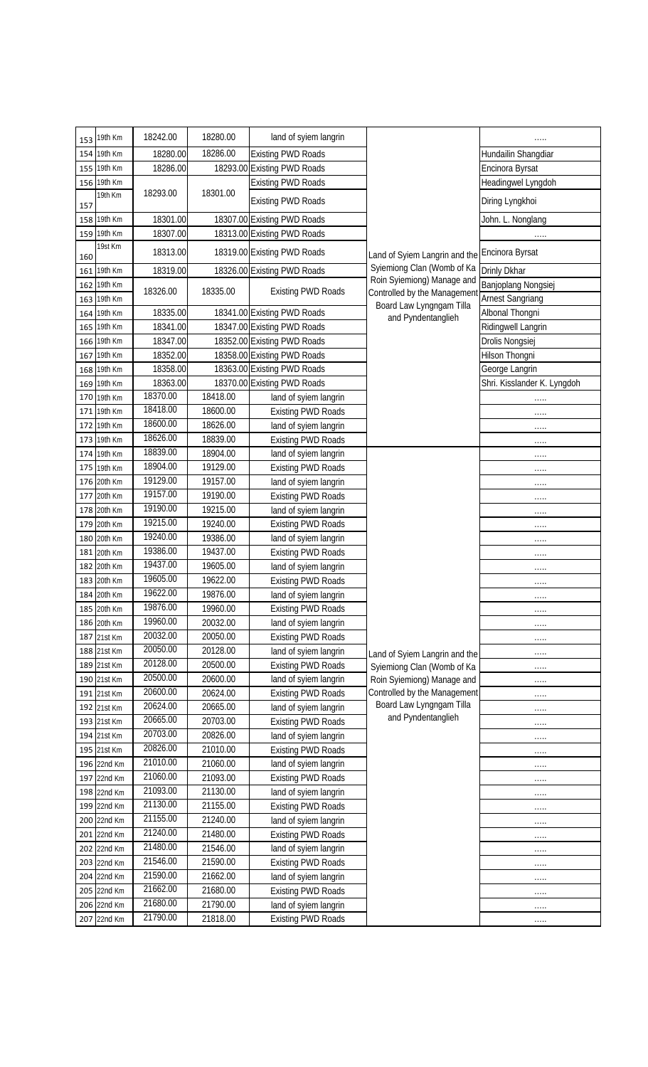| 153 | 19th Km                    | 18242.00             | 18280.00             | land of syiem langrin                              |                                                            |                             |
|-----|----------------------------|----------------------|----------------------|----------------------------------------------------|------------------------------------------------------------|-----------------------------|
|     | 154 19th Km                | 18280.00             | 18286.00             | <b>Existing PWD Roads</b>                          |                                                            | Hundailin Shangdiar         |
|     | 155 19th Km                | 18286.00             |                      | 18293.00 Existing PWD Roads                        |                                                            | Encinora Byrsat             |
|     | 156 19th Km                |                      |                      | <b>Existing PWD Roads</b>                          |                                                            | Headingwel Lyngdoh          |
| 157 | 19th Km                    | 18293.00             | 18301.00             | <b>Existing PWD Roads</b>                          |                                                            | Diring Lyngkhoi             |
|     | 158 19th Km                | 18301.00             |                      | 18307.00 Existing PWD Roads                        |                                                            | John. L. Nonglang           |
|     | 159 19th Km                | 18307.00             |                      | 18313.00 Existing PWD Roads                        |                                                            | .                           |
| 160 | 19st Km                    | 18313.00             |                      | 18319.00 Existing PWD Roads                        | Land of Syiem Langrin and the                              | Encinora Byrsat             |
|     | 161 19th Km                | 18319.00             |                      | 18326.00 Existing PWD Roads                        | Sylemiong Clan (Womb of Ka                                 | Drinly Dkhar                |
|     | 162 19th Km                |                      |                      |                                                    | Roin Syiemiong) Manage and                                 | Banjoplang Nongsiej         |
|     | 163 19th Km                | 18326.00             | 18335.00             | <b>Existing PWD Roads</b>                          | Controlled by the Management<br>Board Law Lyngngam Tilla   | <b>Arnest Sangriang</b>     |
|     | 164 19th Km                | 18335.00             |                      | 18341.00 Existing PWD Roads                        | and Pyndentanglieh                                         | Albonal Thongni             |
|     | 165 19th Km                | 18341.00             |                      | 18347.00 Existing PWD Roads                        |                                                            | Ridingwell Langrin          |
|     | 166 19th Km                | 18347.00             |                      | 18352.00 Existing PWD Roads                        |                                                            | Drolis Nongsiej             |
| 167 | 19th Km                    | 18352.00             |                      | 18358.00 Existing PWD Roads                        |                                                            | Hilson Thongni              |
|     | 168 19th Km                | 18358.00             |                      | 18363.00 Existing PWD Roads                        |                                                            | George Langrin              |
|     | 169 19th Km                | 18363.00             |                      | 18370.00 Existing PWD Roads                        |                                                            | Shri. Kisslander K. Lyngdoh |
|     | 170 19th Km                | 18370.00             | 18418.00             | land of syiem langrin                              |                                                            |                             |
|     | 171 19th Km                | 18418.00             | 18600.00             | <b>Existing PWD Roads</b>                          |                                                            | .                           |
|     | 172 19th Km                | 18600.00             | 18626.00             | land of syiem langrin                              |                                                            | .                           |
|     | 173 19th Km                | 18626.00             | 18839.00             | <b>Existing PWD Roads</b>                          |                                                            | .                           |
|     | 174 19th Km                | 18839.00             | 18904.00             | land of syiem langrin                              |                                                            | .                           |
|     | 175 19th Km                | 18904.00             | 19129.00             | <b>Existing PWD Roads</b>                          |                                                            | .                           |
|     | 176 20th Km                | 19129.00             | 19157.00             | land of syiem langrin                              |                                                            | $\cdots$                    |
| 177 | 20th Km                    | 19157.00             | 19190.00             | <b>Existing PWD Roads</b>                          |                                                            | .                           |
|     | 178 20th Km                | 19190.00             | 19215.00             | land of syiem langrin                              |                                                            | .                           |
|     | 179 20th Km                | 19215.00             | 19240.00             | <b>Existing PWD Roads</b>                          |                                                            | .                           |
|     | 180 20th Km                | 19240.00             | 19386.00             | land of syiem langrin                              |                                                            | .                           |
|     | 181 20th Km                | 19386.00             | 19437.00             | <b>Existing PWD Roads</b>                          |                                                            | .                           |
|     | 182 20th Km                | 19437.00<br>19605.00 | 19605.00             | land of syiem langrin                              |                                                            | .                           |
|     | 183 20th Km                | 19622.00             | 19622.00             | <b>Existing PWD Roads</b>                          |                                                            | .                           |
|     | 184 20th Km                | 19876.00             | 19876.00             | land of syiem langrin                              |                                                            | .                           |
|     | 185 20th Km                | 19960.00             | 19960.00             | <b>Existing PWD Roads</b>                          |                                                            | .                           |
|     | 186 20th Km                | 20032.00             | 20032.00<br>20050.00 | land of syiem langrin                              |                                                            | .                           |
|     | 187 21st Km                | 20050.00             | 20128.00             | <b>Existing PWD Roads</b>                          |                                                            | .                           |
|     | 188 21st Km                | 20128.00             | 20500.00             | land of syiem langrin                              | Land of Syiem Langrin and the                              |                             |
|     | 189 21st Km<br>190 21st Km | 20500.00             | 20600.00             | <b>Existing PWD Roads</b>                          | Sylemiong Clan (Womb of Ka                                 | $\ldots$                    |
|     | 191 21st Km                | 20600.00             | 20624.00             | land of syiem langrin<br><b>Existing PWD Roads</b> | Roin Sylemiong) Manage and<br>Controlled by the Management | .                           |
|     | 192 21st Km                | 20624.00             | 20665.00             | land of syiem langrin                              | Board Law Lyngngam Tilla                                   | .                           |
|     | 193 21st Km                | 20665.00             | 20703.00             | <b>Existing PWD Roads</b>                          | and Pyndentanglieh                                         | .                           |
|     | 194 21st Km                | 20703.00             | 20826.00             | land of syiem langrin                              |                                                            |                             |
|     | 195 21st Km                | 20826.00             | 21010.00             | <b>Existing PWD Roads</b>                          |                                                            | .<br>.                      |
|     | 196 22nd Km                | 21010.00             | 21060.00             | land of syiem langrin                              |                                                            | .                           |
|     | 197 22nd Km                | 21060.00             | 21093.00             | <b>Existing PWD Roads</b>                          |                                                            | .                           |
|     | 198 22nd Km                | 21093.00             | 21130.00             | land of syiem langrin                              |                                                            | .                           |
|     | 199 22nd Km                | 21130.00             | 21155.00             | <b>Existing PWD Roads</b>                          |                                                            | .                           |
|     | 200 22nd Km                | 21155.00             | 21240.00             | land of syiem langrin                              |                                                            | .                           |
|     | 201 22nd Km                | 21240.00             | 21480.00             | <b>Existing PWD Roads</b>                          |                                                            | .                           |
|     | 202 22nd Km                | 21480.00             | 21546.00             | land of syiem langrin                              |                                                            | .                           |
|     | 203 22nd Km                | 21546.00             | 21590.00             | <b>Existing PWD Roads</b>                          |                                                            | .                           |
|     | 204 22nd Km                | 21590.00             | 21662.00             | land of syiem langrin                              |                                                            |                             |
|     | 205 22nd Km                | 21662.00             | 21680.00             | <b>Existing PWD Roads</b>                          |                                                            | .                           |
|     | 206 22nd Km                | 21680.00             | 21790.00             | land of syiem langrin                              |                                                            | .                           |
|     | 207 22nd Km                | 21790.00             | 21818.00             | <b>Existing PWD Roads</b>                          |                                                            | $\cdots$                    |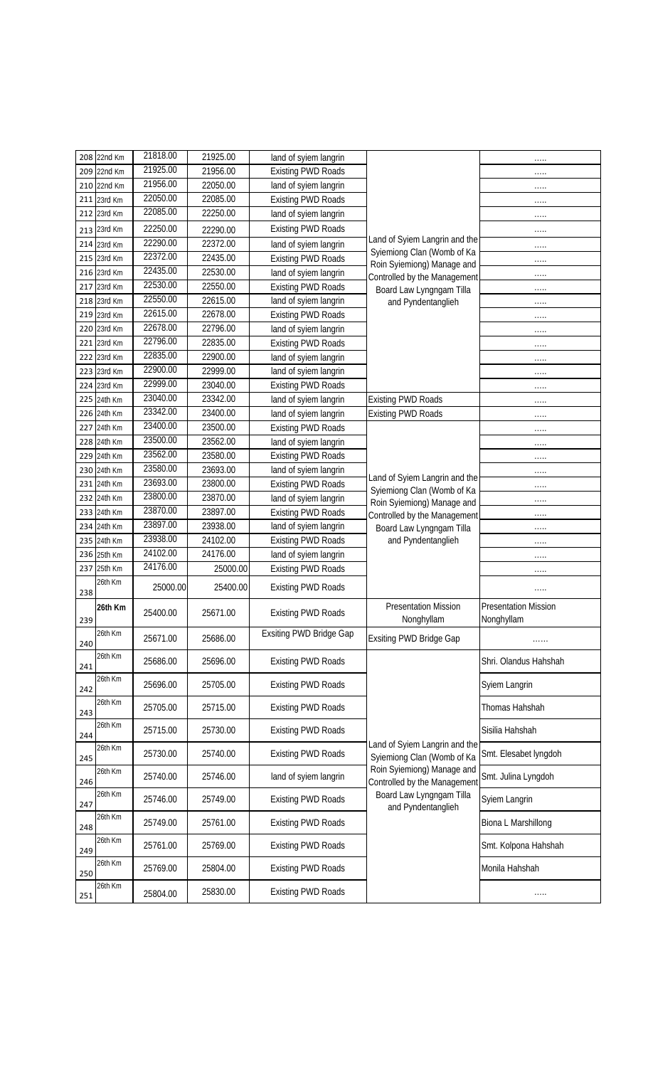|     | 208 22nd Km | 21818.00             | 21925.00 | land of syiem langrin          |                                                                                                              | .                                         |
|-----|-------------|----------------------|----------|--------------------------------|--------------------------------------------------------------------------------------------------------------|-------------------------------------------|
|     | 209 22nd Km | 21925.00             | 21956.00 | <b>Existing PWD Roads</b>      |                                                                                                              | .                                         |
|     | 210 22nd Km | 21956.00             | 22050.00 | land of syiem langrin          |                                                                                                              | .                                         |
|     | 211 23rd Km | 22050.00             | 22085.00 | <b>Existing PWD Roads</b>      |                                                                                                              | .                                         |
|     | 212 23rd Km | 22085.00             | 22250.00 | land of syiem langrin          |                                                                                                              | .                                         |
|     | 213 23rd Km | 22250.00             | 22290.00 | <b>Existing PWD Roads</b>      |                                                                                                              | .                                         |
|     | 214 23rd Km | 22290.00             | 22372.00 | land of syiem langrin          | Land of Syiem Langrin and the                                                                                | .                                         |
|     | 215 23rd Km | 22372.00             | 22435.00 | <b>Existing PWD Roads</b>      | Sylemiong Clan (Womb of Ka<br>Roin Syiemiong) Manage and                                                     | .                                         |
|     | 216 23rd Km | 22435.00             | 22530.00 | land of syiem langrin          | Controlled by the Management                                                                                 | .                                         |
|     | 217 23rd Km | 22530.00             | 22550.00 | <b>Existing PWD Roads</b>      | Board Law Lyngngam Tilla                                                                                     | .                                         |
|     | 218 23rd Km | 22550.00             | 22615.00 | land of syiem langrin          | and Pyndentanglieh                                                                                           | $\cdots$                                  |
|     | 219 23rd Km | 22615.00             | 22678.00 | <b>Existing PWD Roads</b>      |                                                                                                              | .                                         |
|     | 220 23rd Km | 22678.00             | 22796.00 | land of syiem langrin          |                                                                                                              | .                                         |
|     | 221 23rd Km | 22796.00             | 22835.00 | <b>Existing PWD Roads</b>      |                                                                                                              | .                                         |
|     | 222 23rd Km | 22835.00             | 22900.00 | land of syiem langrin          |                                                                                                              | .                                         |
|     | 223 23rd Km | 22900.00             | 22999.00 | land of syiem langrin          |                                                                                                              | .                                         |
|     | 224 23rd Km | 22999.00             | 23040.00 | <b>Existing PWD Roads</b>      |                                                                                                              | .                                         |
|     | 225 24th Km | 23040.00             | 23342.00 | land of syiem langrin          | <b>Existing PWD Roads</b>                                                                                    | .                                         |
|     | 226 24th Km | 23342.00             | 23400.00 | land of syiem langrin          | <b>Existing PWD Roads</b>                                                                                    | .                                         |
| 227 | 24th Km     | 23400.00             | 23500.00 | <b>Existing PWD Roads</b>      |                                                                                                              | .                                         |
|     | 228 24th Km | 23500.00             | 23562.00 | land of syiem langrin          |                                                                                                              | .                                         |
|     | 229 24th Km | 23562.00             | 23580.00 | <b>Existing PWD Roads</b>      |                                                                                                              | .                                         |
|     | 230 24th Km | 23580.00             | 23693.00 | land of syiem langrin          | Land of Syiem Langrin and the                                                                                | .                                         |
|     | 231 24th Km | 23693.00             | 23800.00 | <b>Existing PWD Roads</b>      | Syiemiong Clan (Womb of Ka                                                                                   | $\cdots$                                  |
|     | 232 24th Km | 23800.00             | 23870.00 | land of syiem langrin          | Roin Sylemiong) Manage and                                                                                   | .                                         |
|     | 233 24th Km | 23870.00             | 23897.00 | <b>Existing PWD Roads</b>      | Controlled by the Management                                                                                 | .                                         |
|     | 234 24th Km | 23897.00             | 23938.00 | land of syiem langrin          | Board Law Lyngngam Tilla                                                                                     | .                                         |
|     | 235 24th Km | 23938.00             | 24102.00 | <b>Existing PWD Roads</b>      | and Pyndentanglieh                                                                                           | .                                         |
|     | 236 25th Km | 24102.00<br>24176.00 | 24176.00 | land of syiem langrin          |                                                                                                              | .                                         |
| 237 | 25th Km     |                      | 25000.00 | <b>Existing PWD Roads</b>      |                                                                                                              | .                                         |
| 238 | 26th Km     | 25000.00             | 25400.00 | <b>Existing PWD Roads</b>      |                                                                                                              | .                                         |
| 239 | 26th Km     | 25400.00             | 25671.00 | <b>Existing PWD Roads</b>      | <b>Presentation Mission</b><br>Nonghyllam                                                                    | <b>Presentation Mission</b><br>Nonghyllam |
| 240 | 26th Km     | 25671.00             | 25686.00 | <b>Exsiting PWD Bridge Gap</b> | Exsiting PWD Bridge Gap                                                                                      |                                           |
| 241 | 26th Km     | 25686.00             | 25696.00 | <b>Existing PWD Roads</b>      |                                                                                                              | Shri. Olandus Hahshah                     |
| 242 | 26th Km     | 25696.00             | 25705.00 | <b>Existing PWD Roads</b>      |                                                                                                              | Syiem Langrin                             |
| 243 | 26th Km     | 25705.00             | 25715.00 | <b>Existing PWD Roads</b>      |                                                                                                              | Thomas Hahshah                            |
| 244 | 26th Km     | 25715.00             | 25730.00 | <b>Existing PWD Roads</b>      | Land of Syiem Langrin and the                                                                                | Sisilia Hahshah                           |
| 245 | 26th Km     | 25730.00             | 25740.00 | <b>Existing PWD Roads</b>      | Syiemiong Clan (Womb of Ka                                                                                   | Smt. Elesabet lyngdoh                     |
| 246 | 26th Km     | 25740.00             | 25746.00 | land of syiem langrin          | Roin Syiemiong) Manage and<br>Controlled by the Management<br>Board Law Lyngngam Tilla<br>and Pyndentanglieh | Smt. Julina Lyngdoh                       |
| 247 | 26th Km     | 25746.00             | 25749.00 | <b>Existing PWD Roads</b>      |                                                                                                              | Syiem Langrin                             |
| 248 | 26th Km     | 25749.00             | 25761.00 | <b>Existing PWD Roads</b>      |                                                                                                              | Biona L Marshillong                       |
| 249 | 26th Km     | 25761.00             | 25769.00 | <b>Existing PWD Roads</b>      |                                                                                                              | Smt. Kolpona Hahshah                      |
| 250 | 26th Km     | 25769.00             | 25804.00 | <b>Existing PWD Roads</b>      |                                                                                                              | Monila Hahshah                            |
| 251 | 26th Km     | 25804.00             | 25830.00 | <b>Existing PWD Roads</b>      |                                                                                                              | .                                         |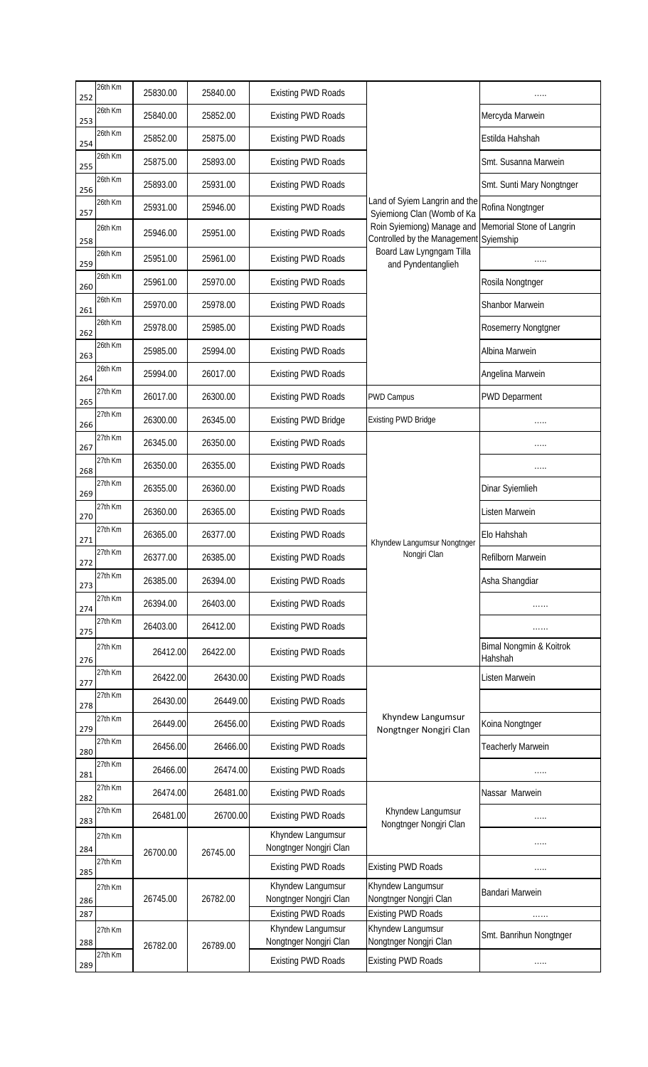| 252 | 26th Km | 25830.00 | 25840.00 | <b>Existing PWD Roads</b>                   |                                                                      |                                    |
|-----|---------|----------|----------|---------------------------------------------|----------------------------------------------------------------------|------------------------------------|
| 253 | 26th Km | 25840.00 | 25852.00 | <b>Existing PWD Roads</b>                   |                                                                      | Mercyda Marwein                    |
| 254 | 26th Km | 25852.00 | 25875.00 | <b>Existing PWD Roads</b>                   |                                                                      | Estilda Hahshah                    |
| 255 | 26th Km | 25875.00 | 25893.00 | <b>Existing PWD Roads</b>                   |                                                                      | Smt. Susanna Marwein               |
| 256 | 26th Km | 25893.00 | 25931.00 | <b>Existing PWD Roads</b>                   |                                                                      | Smt. Sunti Mary Nongtnger          |
| 257 | 26th Km | 25931.00 | 25946.00 | <b>Existing PWD Roads</b>                   | Land of Syiem Langrin and the<br>Syiemiong Clan (Womb of Ka          | Rofina Nongtnger                   |
| 258 | 26th Km | 25946.00 | 25951.00 | <b>Existing PWD Roads</b>                   | Roin Syiemiong) Manage and<br>Controlled by the Management Syiemship | Memorial Stone of Langrin          |
| 259 | 26th Km | 25951.00 | 25961.00 | <b>Existing PWD Roads</b>                   | Board Law Lyngngam Tilla<br>and Pyndentanglieh                       | .                                  |
| 260 | 26th Km | 25961.00 | 25970.00 | <b>Existing PWD Roads</b>                   |                                                                      | Rosila Nongtnger                   |
| 261 | 26th Km | 25970.00 | 25978.00 | <b>Existing PWD Roads</b>                   |                                                                      | Shanbor Marwein                    |
| 262 | 26th Km | 25978.00 | 25985.00 | <b>Existing PWD Roads</b>                   |                                                                      | Rosemerry Nongtgner                |
| 263 | 26th Km | 25985.00 | 25994.00 | <b>Existing PWD Roads</b>                   |                                                                      | Albina Marwein                     |
| 264 | 26th Km | 25994.00 | 26017.00 | <b>Existing PWD Roads</b>                   |                                                                      | Angelina Marwein                   |
| 265 | 27th Km | 26017.00 | 26300.00 | <b>Existing PWD Roads</b>                   | <b>PWD Campus</b>                                                    | <b>PWD Deparment</b>               |
| 266 | 27th Km | 26300.00 | 26345.00 | <b>Existing PWD Bridge</b>                  | <b>Existing PWD Bridge</b>                                           |                                    |
| 267 | 27th Km | 26345.00 | 26350.00 | <b>Existing PWD Roads</b>                   |                                                                      |                                    |
| 268 | 27th Km | 26350.00 | 26355.00 | <b>Existing PWD Roads</b>                   |                                                                      | .                                  |
| 269 | 27th Km | 26355.00 | 26360.00 | <b>Existing PWD Roads</b>                   |                                                                      | Dinar Syiemlieh                    |
| 270 | 27th Km | 26360.00 | 26365.00 | <b>Existing PWD Roads</b>                   |                                                                      | Listen Marwein                     |
| 271 | 27th Km | 26365.00 | 26377.00 | <b>Existing PWD Roads</b>                   | Khyndew Langumsur Nongtnger                                          | Elo Hahshah                        |
| 272 | 27th Km | 26377.00 | 26385.00 | <b>Existing PWD Roads</b>                   | Nongjri Clan                                                         | Refilborn Marwein                  |
| 273 | 27th Km | 26385.00 | 26394.00 | <b>Existing PWD Roads</b>                   |                                                                      | Asha Shangdiar                     |
| 274 | 27th Km | 26394.00 | 26403.00 | <b>Existing PWD Roads</b>                   |                                                                      | .                                  |
| 275 | 27th Km | 26403.00 | 26412.00 | <b>Existing PWD Roads</b>                   |                                                                      | .                                  |
| 276 | 27th Km | 26412.00 | 26422.00 | <b>Existing PWD Roads</b>                   |                                                                      | Bimal Nongmin & Koitrok<br>Hahshah |
| 277 | 27th Km | 26422.00 | 26430.00 | <b>Existing PWD Roads</b>                   |                                                                      | Listen Marwein                     |
| 278 | 27th Km | 26430.00 | 26449.00 | <b>Existing PWD Roads</b>                   |                                                                      |                                    |
| 279 | 27th Km | 26449.00 | 26456.00 | <b>Existing PWD Roads</b>                   | Khyndew Langumsur<br>Nongtnger Nongjri Clan                          | Koina Nongtnger                    |
| 280 | 27th Km | 26456.00 | 26466.00 | <b>Existing PWD Roads</b>                   |                                                                      | <b>Teacherly Marwein</b>           |
| 281 | 27th Km | 26466.00 | 26474.00 | <b>Existing PWD Roads</b>                   |                                                                      |                                    |
| 282 | 27th Km | 26474.00 | 26481.00 | <b>Existing PWD Roads</b>                   |                                                                      | Nassar Marwein                     |
| 283 | 27th Km | 26481.00 | 26700.00 | <b>Existing PWD Roads</b>                   | Khyndew Langumsur<br>Nongtnger Nongjri Clan                          | .                                  |
| 284 | 27th Km | 26700.00 | 26745.00 | Khyndew Langumsur<br>Nongtnger Nongjri Clan |                                                                      | .                                  |
| 285 | 27th Km |          |          | <b>Existing PWD Roads</b>                   | <b>Existing PWD Roads</b>                                            | .                                  |
| 286 | 27th Km | 26745.00 | 26782.00 | Khyndew Langumsur<br>Nongtnger Nongjri Clan | Khyndew Langumsur<br>Nongtnger Nongjri Clan                          | Bandari Marwein                    |
| 287 |         |          |          | <b>Existing PWD Roads</b>                   | <b>Existing PWD Roads</b><br>Khyndew Langumsur                       | .                                  |
| 288 | 27th Km | 26782.00 | 26789.00 | Khyndew Langumsur<br>Nongtnger Nongjri Clan | Nongtnger Nongjri Clan                                               | Smt. Banrihun Nongtnger            |
| 289 | 27th Km |          |          | <b>Existing PWD Roads</b>                   | <b>Existing PWD Roads</b>                                            | .                                  |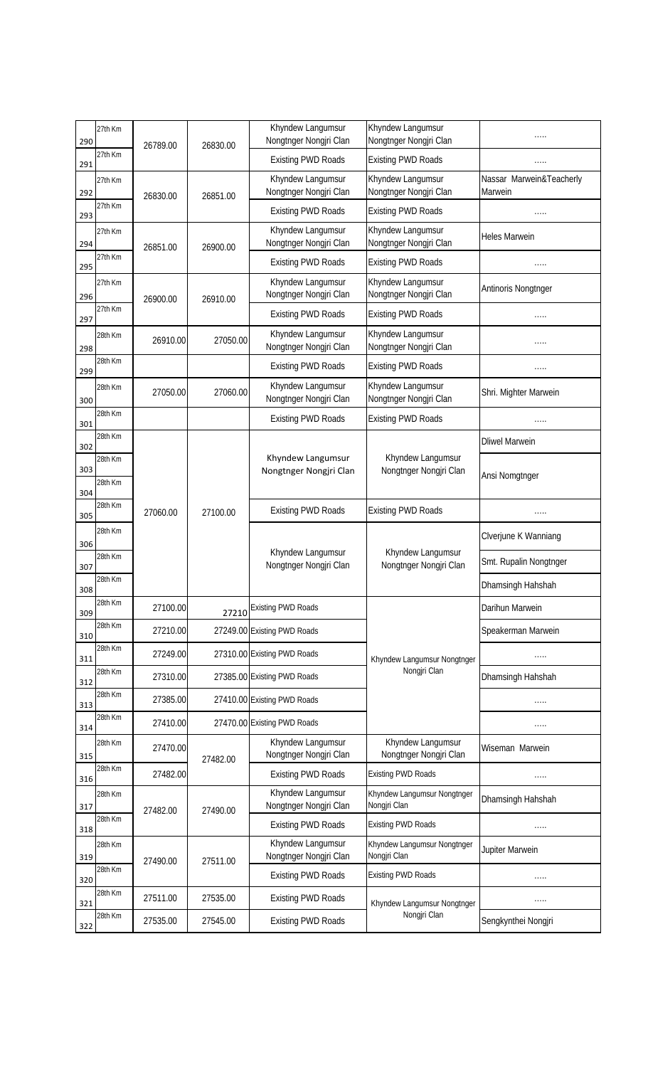| 290 | 27th Km | 26789.00 | 26830.00 | Khyndew Langumsur<br>Nongtnger Nongjri Clan | Khyndew Langumsur<br>Nongtnger Nongjri Clan |                                     |
|-----|---------|----------|----------|---------------------------------------------|---------------------------------------------|-------------------------------------|
| 291 | 27th Km |          |          | <b>Existing PWD Roads</b>                   | <b>Existing PWD Roads</b>                   |                                     |
| 292 | 27th Km | 26830.00 | 26851.00 | Khyndew Langumsur<br>Nongtnger Nongjri Clan | Khyndew Langumsur<br>Nongtnger Nongjri Clan | Nassar Marwein&Teacherly<br>Marwein |
| 293 | 27th Km |          |          | <b>Existing PWD Roads</b>                   | <b>Existing PWD Roads</b>                   |                                     |
| 294 | 27th Km | 26851.00 | 26900.00 | Khyndew Langumsur<br>Nongtnger Nongjri Clan | Khyndew Langumsur<br>Nongtnger Nongjri Clan | <b>Heles Marwein</b>                |
| 295 | 27th Km |          |          | <b>Existing PWD Roads</b>                   | <b>Existing PWD Roads</b>                   | .                                   |
| 296 | 27th Km | 26900.00 | 26910.00 | Khyndew Langumsur<br>Nongtnger Nongjri Clan | Khyndew Langumsur<br>Nongtnger Nongjri Clan | Antinoris Nongtnger                 |
| 297 | 27th Km |          |          | <b>Existing PWD Roads</b>                   | <b>Existing PWD Roads</b>                   | .                                   |
| 298 | 28th Km | 26910.00 | 27050.00 | Khyndew Langumsur<br>Nongtnger Nongjri Clan | Khyndew Langumsur<br>Nongtnger Nongjri Clan | .                                   |
| 299 | 28th Km |          |          | <b>Existing PWD Roads</b>                   | <b>Existing PWD Roads</b>                   |                                     |
| 300 | 28th Km | 27050.00 | 27060.00 | Khyndew Langumsur<br>Nongtnger Nongjri Clan | Khyndew Langumsur<br>Nongtnger Nongjri Clan | Shri. Mighter Marwein               |
| 301 | 28th Km |          |          | <b>Existing PWD Roads</b>                   | <b>Existing PWD Roads</b>                   |                                     |
| 302 | 28th Km |          |          |                                             |                                             | <b>Dliwel Marwein</b>               |
| 303 | 28th Km |          |          | Khyndew Langumsur<br>Nongtnger Nongjri Clan | Khyndew Langumsur<br>Nongtnger Nongjri Clan |                                     |
| 304 | 28th Km |          |          |                                             |                                             | Ansi Nomgtnger                      |
| 305 | 28th Km | 27060.00 | 27100.00 | <b>Existing PWD Roads</b>                   | <b>Existing PWD Roads</b>                   | .                                   |
| 306 | 28th Km |          |          | Khyndew Langumsur<br>Nongtnger Nongjri Clan | Khyndew Langumsur<br>Nongtnger Nongjri Clan | Clverjune K Wanniang                |
| 307 | 28th Km |          |          |                                             |                                             | Smt. Rupalin Nongtnger              |
| 308 | 28th Km |          |          |                                             |                                             | Dhamsingh Hahshah                   |
| 309 | 28th Km | 27100.00 | 27210    | <b>Existing PWD Roads</b>                   |                                             | Darihun Marwein                     |
| 310 | 28th Km | 27210.00 |          | 27249.00 Existing PWD Roads                 |                                             | Speakerman Marwein                  |
| 311 | 28th Km | 27249.00 |          | 27310.00 Existing PWD Roads                 | Khyndew Langumsur Nongtnger                 |                                     |
| 312 | 28th Km | 27310.00 |          | 27385.00 Existing PWD Roads                 | Nongjri Clan                                | Dhamsingh Hahshah                   |
| 313 | 28th Km | 27385.00 |          | 27410.00 Existing PWD Roads                 |                                             |                                     |
| 314 | 28th Km | 27410.00 |          | 27470.00 Existing PWD Roads                 |                                             | .                                   |
| 315 | 28th Km | 27470.00 | 27482.00 | Khyndew Langumsur<br>Nongtnger Nongjri Clan | Khyndew Langumsur<br>Nongtnger Nongjri Clan | Wiseman Marwein                     |
| 316 | 28th Km | 27482.00 |          | <b>Existing PWD Roads</b>                   | <b>Existing PWD Roads</b>                   | .                                   |
| 317 | 28th Km | 27482.00 | 27490.00 | Khyndew Langumsur<br>Nongtnger Nongjri Clan | Khyndew Langumsur Nongtnger<br>Nongjri Clan | Dhamsingh Hahshah                   |
| 318 | 28th Km |          |          | <b>Existing PWD Roads</b>                   | <b>Existing PWD Roads</b>                   | .                                   |
| 319 | 28th Km | 27490.00 | 27511.00 | Khyndew Langumsur<br>Nongtnger Nongjri Clan | Khyndew Langumsur Nongtnger<br>Nongjri Clan | Jupiter Marwein                     |
| 320 | 28th Km |          |          | <b>Existing PWD Roads</b>                   | <b>Existing PWD Roads</b>                   | .                                   |
| 321 | 28th Km | 27511.00 | 27535.00 | <b>Existing PWD Roads</b>                   | Khyndew Langumsur Nongtnger                 | .                                   |
| 322 | 28th Km | 27535.00 | 27545.00 | <b>Existing PWD Roads</b>                   | Nongjri Clan                                | Sengkynthei Nongjri                 |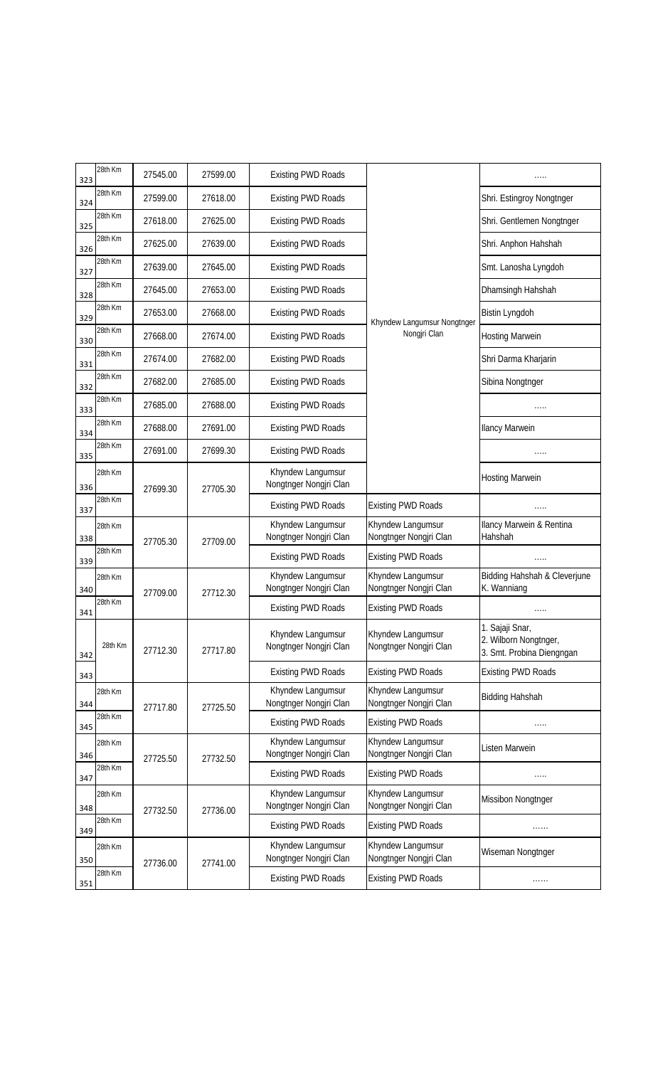| 323 | 28th Km | 27545.00 | 27599.00 | <b>Existing PWD Roads</b>                   |                                             |                                                                       |
|-----|---------|----------|----------|---------------------------------------------|---------------------------------------------|-----------------------------------------------------------------------|
| 324 | 28th Km | 27599.00 | 27618.00 | <b>Existing PWD Roads</b>                   |                                             | Shri. Estingroy Nongtnger                                             |
| 325 | 28th Km | 27618.00 | 27625.00 | <b>Existing PWD Roads</b>                   |                                             | Shri. Gentlemen Nongtnger                                             |
| 326 | 28th Km | 27625.00 | 27639.00 | <b>Existing PWD Roads</b>                   |                                             | Shri. Anphon Hahshah                                                  |
| 327 | 28th Km | 27639.00 | 27645.00 | <b>Existing PWD Roads</b>                   |                                             | Smt. Lanosha Lyngdoh                                                  |
| 328 | 28th Km | 27645.00 | 27653.00 | <b>Existing PWD Roads</b>                   |                                             | Dhamsingh Hahshah                                                     |
| 329 | 28th Km | 27653.00 | 27668.00 | <b>Existing PWD Roads</b>                   | Khyndew Langumsur Nongtnger                 | Bistin Lyngdoh                                                        |
| 330 | 28th Km | 27668.00 | 27674.00 | <b>Existing PWD Roads</b>                   | Nongjri Clan                                | <b>Hosting Marwein</b>                                                |
| 331 | 28th Km | 27674.00 | 27682.00 | <b>Existing PWD Roads</b>                   |                                             | Shri Darma Kharjarin                                                  |
| 332 | 28th Km | 27682.00 | 27685.00 | <b>Existing PWD Roads</b>                   |                                             | Sibina Nongtnger                                                      |
| 333 | 28th Km | 27685.00 | 27688.00 | <b>Existing PWD Roads</b>                   |                                             | .                                                                     |
| 334 | 28th Km | 27688.00 | 27691.00 | <b>Existing PWD Roads</b>                   |                                             | <b>Ilancy Marwein</b>                                                 |
| 335 | 28th Km | 27691.00 | 27699.30 | <b>Existing PWD Roads</b>                   |                                             | .                                                                     |
| 336 | 28th Km | 27699.30 | 27705.30 | Khyndew Langumsur<br>Nongtnger Nongjri Clan |                                             | <b>Hosting Marwein</b>                                                |
| 337 | 28th Km |          |          | <b>Existing PWD Roads</b>                   | <b>Existing PWD Roads</b>                   |                                                                       |
| 338 | 28th Km | 27705.30 | 27709.00 | Khyndew Langumsur<br>Nongtnger Nongjri Clan | Khyndew Langumsur<br>Nongtnger Nongjri Clan | Ilancy Marwein & Rentina<br>Hahshah                                   |
| 339 | 28th Km |          |          | <b>Existing PWD Roads</b>                   | <b>Existing PWD Roads</b>                   | .                                                                     |
| 340 | 28th Km | 27709.00 | 27712.30 | Khyndew Langumsur<br>Nongtnger Nongjri Clan | Khyndew Langumsur<br>Nongtnger Nongjri Clan | Bidding Hahshah & Cleverjune<br>K. Wanniang                           |
| 341 | 28th Km |          |          | <b>Existing PWD Roads</b>                   | <b>Existing PWD Roads</b>                   | .                                                                     |
| 342 | 28th Km | 27712.30 | 27717.80 | Khyndew Langumsur<br>Nongtnger Nongjri Clan | Khyndew Langumsur<br>Nongtnger Nongjri Clan | 1. Sajaji Snar,<br>2. Wilborn Nongtnger,<br>3. Smt. Probina Diengngan |
| 343 |         |          |          | <b>Existing PWD Roads</b>                   | <b>Existing PWD Roads</b>                   | <b>Existing PWD Roads</b>                                             |
| 344 | 28th Km | 27717.80 | 27725.50 | Khyndew Langumsur<br>Nongtnger Nongjri Clan | Khyndew Langumsur<br>Nongtnger Nongjri Clan | <b>Bidding Hahshah</b>                                                |
| 345 | 28th Km |          |          | <b>Existing PWD Roads</b>                   | <b>Existing PWD Roads</b>                   |                                                                       |
| 346 | 28th Km | 27725.50 | 27732.50 | Khyndew Langumsur<br>Nongtnger Nongjri Clan | Khyndew Langumsur<br>Nongtnger Nongjri Clan | Listen Marwein                                                        |
| 347 | 28th Km |          |          | <b>Existing PWD Roads</b>                   | <b>Existing PWD Roads</b>                   |                                                                       |
| 348 | 28th Km | 27732.50 | 27736.00 | Khyndew Langumsur<br>Nongtnger Nongjri Clan | Khyndew Langumsur<br>Nongtnger Nongjri Clan | Missibon Nongtnger                                                    |
| 349 | 28th Km |          |          | <b>Existing PWD Roads</b>                   | <b>Existing PWD Roads</b>                   | .                                                                     |
| 350 | 28th Km | 27736.00 | 27741.00 | Khyndew Langumsur<br>Nongtnger Nongjri Clan | Khyndew Langumsur<br>Nongtnger Nongjri Clan | Wiseman Nongtnger                                                     |
| 351 | 28th Km |          |          | <b>Existing PWD Roads</b>                   | <b>Existing PWD Roads</b>                   | .                                                                     |